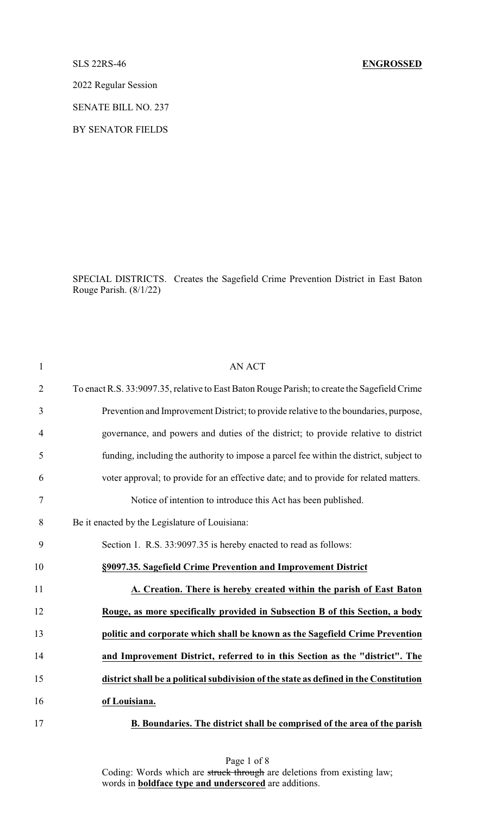## SLS 22RS-46 **ENGROSSED**

2022 Regular Session

SENATE BILL NO. 237

BY SENATOR FIELDS

SPECIAL DISTRICTS. Creates the Sagefield Crime Prevention District in East Baton Rouge Parish. (8/1/22)

| $\mathbf{1}$   | AN ACT                                                                                       |
|----------------|----------------------------------------------------------------------------------------------|
| $\overline{2}$ | To enact R.S. 33:9097.35, relative to East Baton Rouge Parish; to create the Sagefield Crime |
| 3              | Prevention and Improvement District; to provide relative to the boundaries, purpose,         |
| $\overline{4}$ | governance, and powers and duties of the district; to provide relative to district           |
| 5              | funding, including the authority to impose a parcel fee within the district, subject to      |
| 6              | voter approval; to provide for an effective date; and to provide for related matters.        |
| $\tau$         | Notice of intention to introduce this Act has been published.                                |
| 8              | Be it enacted by the Legislature of Louisiana:                                               |
| 9              | Section 1. R.S. 33:9097.35 is hereby enacted to read as follows:                             |
| 10             | §9097.35. Sagefield Crime Prevention and Improvement District                                |
| 11             | A. Creation. There is hereby created within the parish of East Baton                         |
| 12             | Rouge, as more specifically provided in Subsection B of this Section, a body                 |
| 13             | politic and corporate which shall be known as the Sagefield Crime Prevention                 |
| 14             | and Improvement District, referred to in this Section as the "district". The                 |
| 15             | district shall be a political subdivision of the state as defined in the Constitution        |
| 16             | of Louisiana.                                                                                |
| 17             | B. Boundaries. The district shall be comprised of the area of the parish                     |

Page 1 of 8 Coding: Words which are struck through are deletions from existing law; words in **boldface type and underscored** are additions.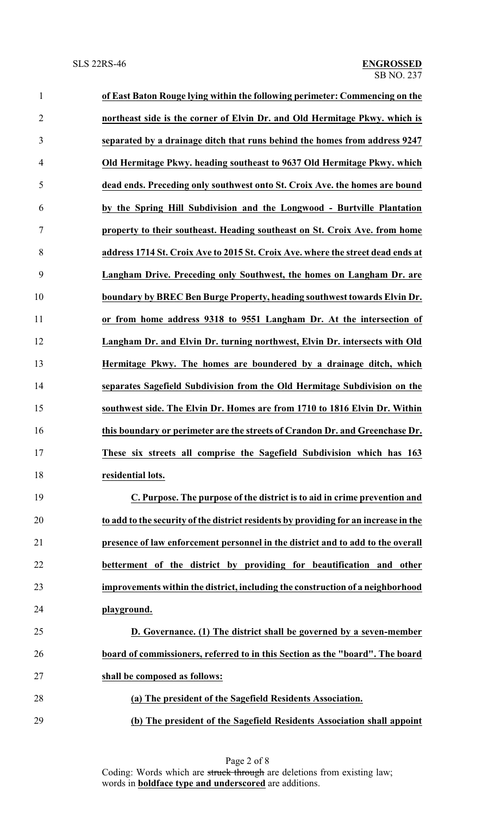| $\mathbf{1}$   | of East Baton Rouge lying within the following perimeter: Commencing on the          |
|----------------|--------------------------------------------------------------------------------------|
| $\overline{2}$ | northeast side is the corner of Elvin Dr. and Old Hermitage Pkwy. which is           |
| 3              | separated by a drainage ditch that runs behind the homes from address 9247           |
| 4              | Old Hermitage Pkwy. heading southeast to 9637 Old Hermitage Pkwy. which              |
| 5              | dead ends. Preceding only southwest onto St. Croix Ave. the homes are bound          |
| 6              | by the Spring Hill Subdivision and the Longwood - Burtville Plantation               |
| 7              | property to their southeast. Heading southeast on St. Croix Ave. from home           |
| 8              | address 1714 St. Croix Ave to 2015 St. Croix Ave. where the street dead ends at      |
| 9              | Langham Drive. Preceding only Southwest, the homes on Langham Dr. are                |
| 10             | boundary by BREC Ben Burge Property, heading southwest towards Elvin Dr.             |
| 11             | or from home address 9318 to 9551 Langham Dr. At the intersection of                 |
| 12             | Langham Dr. and Elvin Dr. turning northwest, Elvin Dr. intersects with Old           |
| 13             | Hermitage Pkwy. The homes are boundered by a drainage ditch, which                   |
| 14             | separates Sagefield Subdivision from the Old Hermitage Subdivision on the            |
| 15             | southwest side. The Elvin Dr. Homes are from 1710 to 1816 Elvin Dr. Within           |
| 16             | this boundary or perimeter are the streets of Crandon Dr. and Greenchase Dr.         |
| 17             | These six streets all comprise the Sagefield Subdivision which has 163               |
| 18             | residential lots.                                                                    |
| 19             | C. Purpose. The purpose of the district is to aid in crime prevention and            |
| 20             | to add to the security of the district residents by providing for an increase in the |
| 21             | presence of law enforcement personnel in the district and to add to the overall      |
| 22             | betterment of the district by providing for beautification and other                 |
| 23             | improvements within the district, including the construction of a neighborhood       |
| 24             | playground.                                                                          |
| 25             | D. Governance. (1) The district shall be governed by a seven-member                  |
| 26             | board of commissioners, referred to in this Section as the "board". The board        |
| 27             | shall be composed as follows:                                                        |
| 28             | (a) The president of the Sagefield Residents Association.                            |
| 29             | (b) The president of the Sagefield Residents Association shall appoint               |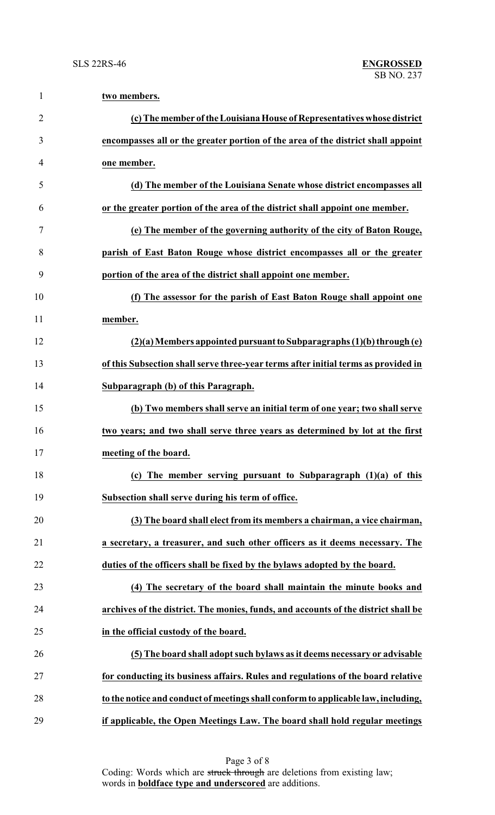| $\mathbf{1}$   | two members.                                                                       |
|----------------|------------------------------------------------------------------------------------|
| $\overline{2}$ | (c) The member of the Louisiana House of Representatives whose district            |
| 3              | encompasses all or the greater portion of the area of the district shall appoint   |
| 4              | one member.                                                                        |
| 5              | (d) The member of the Louisiana Senate whose district encompasses all              |
| 6              | or the greater portion of the area of the district shall appoint one member.       |
| 7              | (e) The member of the governing authority of the city of Baton Rouge,              |
| 8              | parish of East Baton Rouge whose district encompasses all or the greater           |
| 9              | portion of the area of the district shall appoint one member.                      |
| 10             | (f) The assessor for the parish of East Baton Rouge shall appoint one              |
| 11             | member.                                                                            |
| 12             | $(2)(a)$ Members appointed pursuant to Subparagraphs $(1)(b)$ through $(e)$        |
| 13             | of this Subsection shall serve three-year terms after initial terms as provided in |
| 14             | Subparagraph (b) of this Paragraph.                                                |
| 15             | (b) Two members shall serve an initial term of one year; two shall serve           |
| 16             | two years; and two shall serve three years as determined by lot at the first       |
| 17             | meeting of the board.                                                              |
| 18             | (c) The member serving pursuant to Subparagraph $(1)(a)$ of this                   |
| 19             | Subsection shall serve during his term of office.                                  |
| 20             | (3) The board shall elect from its members a chairman, a vice chairman,            |
| 21             | a secretary, a treasurer, and such other officers as it deems necessary. The       |
| 22             | duties of the officers shall be fixed by the bylaws adopted by the board.          |
| 23             | (4) The secretary of the board shall maintain the minute books and                 |
| 24             | archives of the district. The monies, funds, and accounts of the district shall be |
| 25             | in the official custody of the board.                                              |
| 26             | (5) The board shall adopt such bylaws as it deems necessary or advisable           |
| 27             | for conducting its business affairs. Rules and regulations of the board relative   |
| 28             | to the notice and conduct of meetings shall conform to applicable law, including,  |
| 29             | if applicable, the Open Meetings Law. The board shall hold regular meetings        |

Page 3 of 8 Coding: Words which are struck through are deletions from existing law; words in **boldface type and underscored** are additions.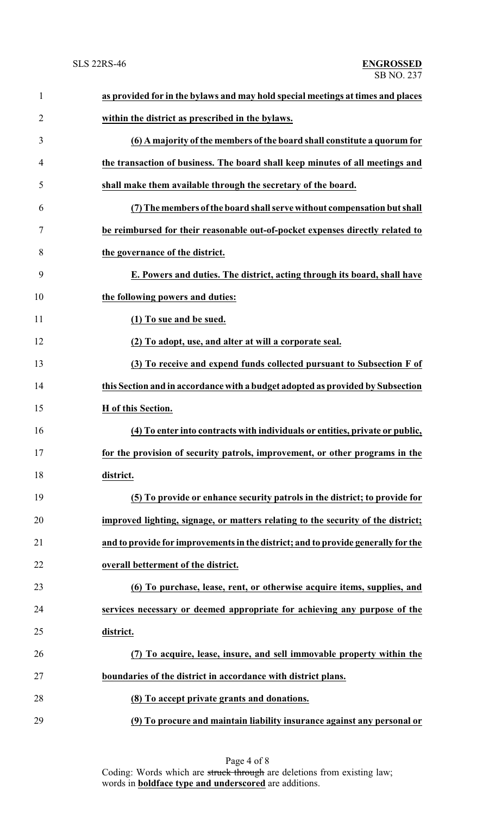| $\mathbf{1}$   | as provided for in the bylaws and may hold special meetings at times and places   |
|----------------|-----------------------------------------------------------------------------------|
| $\overline{2}$ | within the district as prescribed in the bylaws.                                  |
| 3              | (6) A majority of the members of the board shall constitute a quorum for          |
| 4              | the transaction of business. The board shall keep minutes of all meetings and     |
| 5              | shall make them available through the secretary of the board.                     |
| 6              | (7) The members of the board shall serve without compensation but shall           |
| 7              | be reimbursed for their reasonable out-of-pocket expenses directly related to     |
| 8              | the governance of the district.                                                   |
| 9              | E. Powers and duties. The district, acting through its board, shall have          |
| 10             | the following powers and duties:                                                  |
| 11             | (1) To sue and be sued.                                                           |
| 12             | (2) To adopt, use, and alter at will a corporate seal.                            |
| 13             | (3) To receive and expend funds collected pursuant to Subsection F of             |
| 14             | this Section and in accordance with a budget adopted as provided by Subsection    |
| 15             | H of this Section.                                                                |
| 16             | (4) To enter into contracts with individuals or entities, private or public,      |
| 17             | for the provision of security patrols, improvement, or other programs in the      |
| 18             | district.                                                                         |
| 19             | (5) To provide or enhance security patrols in the district; to provide for        |
| 20             | improved lighting, signage, or matters relating to the security of the district;  |
| 21             | and to provide for improvements in the district; and to provide generally for the |
| 22             | overall betterment of the district.                                               |
| 23             | (6) To purchase, lease, rent, or otherwise acquire items, supplies, and           |
| 24             | services necessary or deemed appropriate for achieving any purpose of the         |
| 25             | district.                                                                         |
| 26             | (7) To acquire, lease, insure, and sell immovable property within the             |
| 27             | boundaries of the district in accordance with district plans.                     |
| 28             | (8) To accept private grants and donations.                                       |
| 29             | (9) To procure and maintain liability insurance against any personal or           |

Page 4 of 8 Coding: Words which are struck through are deletions from existing law; words in **boldface type and underscored** are additions.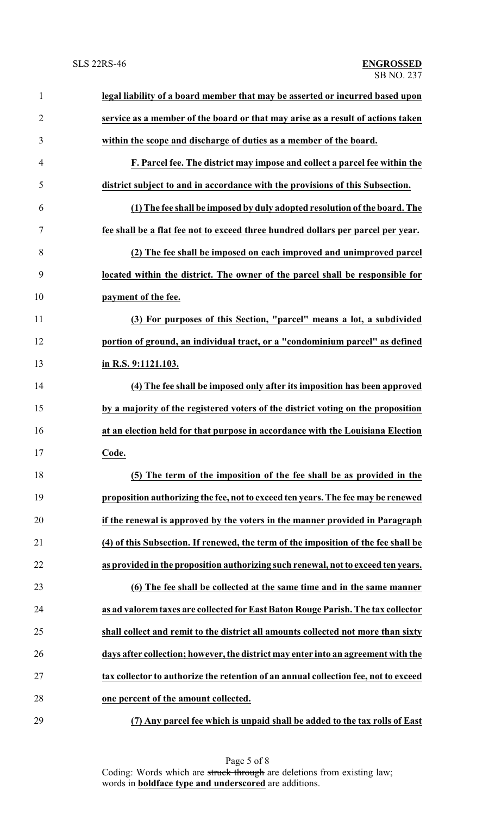| $\mathbf{1}$   | legal liability of a board member that may be asserted or incurred based upon       |
|----------------|-------------------------------------------------------------------------------------|
| $\overline{2}$ | service as a member of the board or that may arise as a result of actions taken     |
| 3              | within the scope and discharge of duties as a member of the board.                  |
| 4              | F. Parcel fee. The district may impose and collect a parcel fee within the          |
| 5              | district subject to and in accordance with the provisions of this Subsection.       |
| 6              | (1) The fee shall be imposed by duly adopted resolution of the board. The           |
| $\tau$         | fee shall be a flat fee not to exceed three hundred dollars per parcel per year.    |
| 8              | (2) The fee shall be imposed on each improved and unimproved parcel                 |
| 9              | located within the district. The owner of the parcel shall be responsible for       |
| 10             | payment of the fee.                                                                 |
| 11             | (3) For purposes of this Section, "parcel" means a lot, a subdivided                |
| 12             | portion of ground, an individual tract, or a "condominium parcel" as defined        |
| 13             | in R.S. 9:1121.103.                                                                 |
| 14             | (4) The fee shall be imposed only after its imposition has been approved            |
| 15             | by a majority of the registered voters of the district voting on the proposition    |
| 16             | at an election held for that purpose in accordance with the Louisiana Election      |
| 17             | Code.                                                                               |
| 18             | (5) The term of the imposition of the fee shall be as provided in the               |
| 19             | proposition authorizing the fee, not to exceed ten years. The fee may be renewed    |
| 20             | if the renewal is approved by the voters in the manner provided in Paragraph        |
| 21             | (4) of this Subsection. If renewed, the term of the imposition of the fee shall be  |
| 22             | as provided in the proposition authorizing such renewal, not to exceed ten years.   |
| 23             | (6) The fee shall be collected at the same time and in the same manner              |
| 24             | as ad valorem taxes are collected for East Baton Rouge Parish. The tax collector    |
| 25             | shall collect and remit to the district all amounts collected not more than sixty   |
| 26             | days after collection; however, the district may enter into an agreement with the   |
| 27             | tax collector to authorize the retention of an annual collection fee, not to exceed |
| 28             | one percent of the amount collected.                                                |
| 29             | (7) Any parcel fee which is unpaid shall be added to the tax rolls of East          |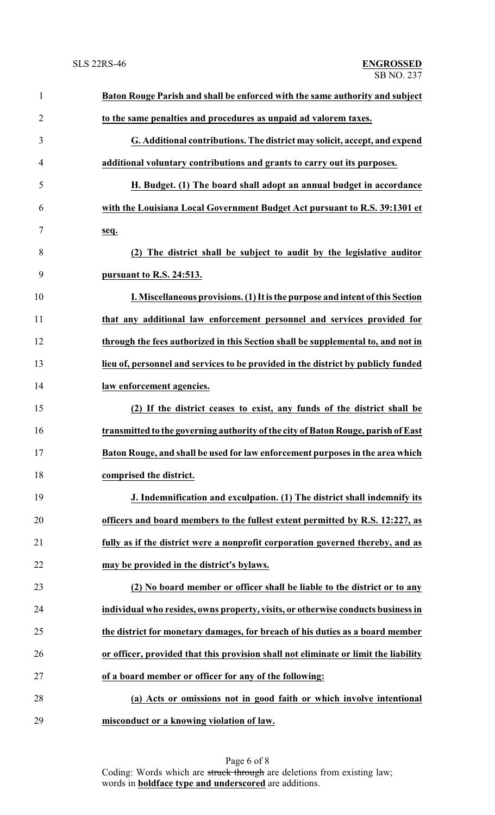| $\mathbf{1}$   | Baton Rouge Parish and shall be enforced with the same authority and subject        |
|----------------|-------------------------------------------------------------------------------------|
| $\overline{2}$ | to the same penalties and procedures as unpaid ad valorem taxes.                    |
| 3              | G. Additional contributions. The district may solicit, accept, and expend           |
| $\overline{4}$ | additional voluntary contributions and grants to carry out its purposes.            |
| 5              | H. Budget. (1) The board shall adopt an annual budget in accordance                 |
| 6              | with the Louisiana Local Government Budget Act pursuant to R.S. 39:1301 et          |
| 7              | seq.                                                                                |
| 8              | (2) The district shall be subject to audit by the legislative auditor               |
| 9              | pursuant to R.S. 24:513.                                                            |
| 10             | I. Miscellaneous provisions. (1) It is the purpose and intent of this Section       |
| 11             | that any additional law enforcement personnel and services provided for             |
| 12             | through the fees authorized in this Section shall be supplemental to, and not in    |
| 13             | lieu of, personnel and services to be provided in the district by publicly funded   |
| 14             | law enforcement agencies.                                                           |
| 15             | (2) If the district ceases to exist, any funds of the district shall be             |
| 16             | transmitted to the governing authority of the city of Baton Rouge, parish of East   |
| 17             | Baton Rouge, and shall be used for law enforcement purposes in the area which       |
| 18             | comprised the district.                                                             |
| 19             | J. Indemnification and exculpation. (1) The district shall indemnify its            |
| 20             | officers and board members to the fullest extent permitted by R.S. 12:227, as       |
| 21             | fully as if the district were a nonprofit corporation governed thereby, and as      |
| 22             | may be provided in the district's bylaws.                                           |
| 23             | (2) No board member or officer shall be liable to the district or to any            |
| 24             | individual who resides, owns property, visits, or otherwise conducts business in    |
| 25             | the district for monetary damages, for breach of his duties as a board member       |
| 26             | or officer, provided that this provision shall not eliminate or limit the liability |
| 27             | of a board member or officer for any of the following:                              |
| 28             | (a) Acts or omissions not in good faith or which involve intentional                |
| 29             | misconduct or a knowing violation of law.                                           |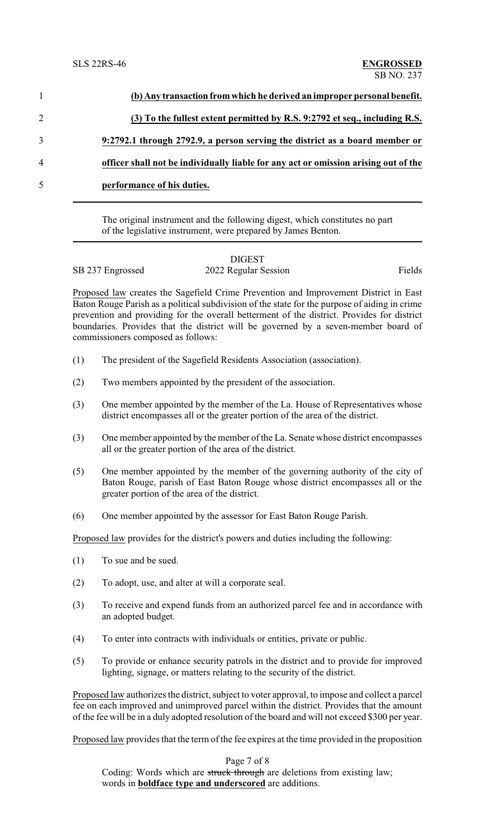|                | (b) Any transaction from which he derived an improper personal benefit.             |
|----------------|-------------------------------------------------------------------------------------|
| $\overline{2}$ | (3) To the fullest extent permitted by R.S. 9:2792 et seq., including R.S.          |
|                | 9:2792.1 through 2792.9, a person serving the district as a board member or         |
| 4              | officer shall not be individually liable for any act or omission arising out of the |
| 5              | performance of his duties.                                                          |

The original instrument and the following digest, which constitutes no part of the legislative instrument, were prepared by James Benton.

## DIGEST SB 237 Engrossed 2022 Regular Session Fields

Proposed law creates the Sagefield Crime Prevention and Improvement District in East Baton Rouge Parish as a political subdivision of the state for the purpose of aiding in crime prevention and providing for the overall betterment of the district. Provides for district boundaries. Provides that the district will be governed by a seven-member board of commissioners composed as follows:

- (1) The president of the Sagefield Residents Association (association).
- (2) Two members appointed by the president of the association.
- (3) One member appointed by the member of the La. House of Representatives whose district encompasses all or the greater portion of the area of the district.
- (3) One member appointed by the member of the La. Senate whose district encompasses all or the greater portion of the area of the district.
- (5) One member appointed by the member of the governing authority of the city of Baton Rouge, parish of East Baton Rouge whose district encompasses all or the greater portion of the area of the district.
- (6) One member appointed by the assessor for East Baton Rouge Parish.

Proposed law provides for the district's powers and duties including the following:

- (1) To sue and be sued.
- (2) To adopt, use, and alter at will a corporate seal.
- (3) To receive and expend funds from an authorized parcel fee and in accordance with an adopted budget.
- (4) To enter into contracts with individuals or entities, private or public.
- (5) To provide or enhance security patrols in the district and to provide for improved lighting, signage, or matters relating to the security of the district.

Proposed law authorizes the district, subject to voter approval, to impose and collect a parcel fee on each improved and unimproved parcel within the district. Provides that the amount of the fee will be in a duly adopted resolution of the board and will not exceed \$300 per year.

Proposed law provides that the term of the fee expires at the time provided in the proposition

Page 7 of 8 Coding: Words which are struck through are deletions from existing law; words in **boldface type and underscored** are additions.